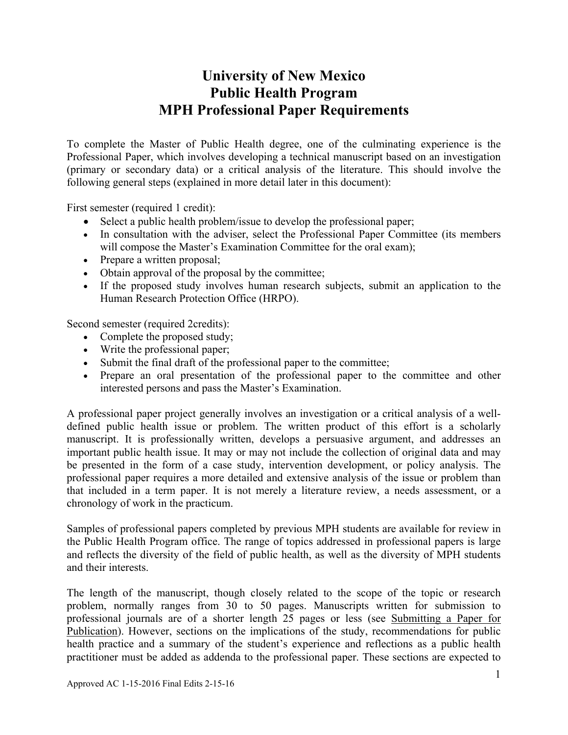# **University of New Mexico Public Health Program MPH Professional Paper Requirements**

To complete the Master of Public Health degree, one of the culminating experience is the Professional Paper, which involves developing a technical manuscript based on an investigation (primary or secondary data) or a critical analysis of the literature. This should involve the following general steps (explained in more detail later in this document):

First semester (required 1 credit):

- Select a public health problem/issue to develop the professional paper;
- In consultation with the adviser, select the Professional Paper Committee (its members will compose the Master's Examination Committee for the oral exam);
- Prepare a written proposal;
- Obtain approval of the proposal by the committee;
- If the proposed study involves human research subjects, submit an application to the Human Research Protection Office (HRPO).

Second semester (required 2credits):

- Complete the proposed study;
- Write the professional paper;
- Submit the final draft of the professional paper to the committee;
- Prepare an oral presentation of the professional paper to the committee and other interested persons and pass the Master's Examination.

A professional paper project generally involves an investigation or a critical analysis of a welldefined public health issue or problem. The written product of this effort is a scholarly manuscript. It is professionally written, develops a persuasive argument, and addresses an important public health issue. It may or may not include the collection of original data and may be presented in the form of a case study, intervention development, or policy analysis. The professional paper requires a more detailed and extensive analysis of the issue or problem than that included in a term paper. It is not merely a literature review, a needs assessment, or a chronology of work in the practicum.

Samples of professional papers completed by previous MPH students are available for review in the Public Health Program office. The range of topics addressed in professional papers is large and reflects the diversity of the field of public health, as well as the diversity of MPH students and their interests.

The length of the manuscript, though closely related to the scope of the topic or research problem, normally ranges from 30 to 50 pages. Manuscripts written for submission to professional journals are of a shorter length 25 pages or less (see Submitting a Paper for Publication). However, sections on the implications of the study, recommendations for public health practice and a summary of the student's experience and reflections as a public health practitioner must be added as addenda to the professional paper. These sections are expected to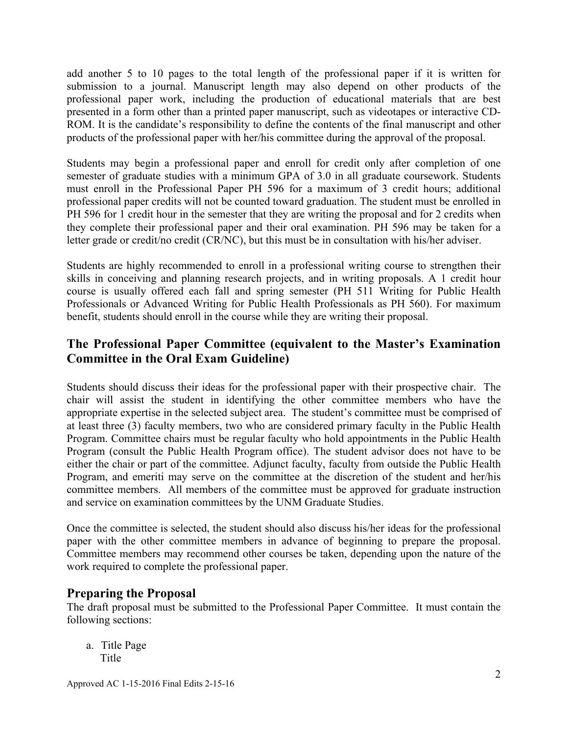add another 5 to 10 pages to the total length of the professional paper if it is written for submission to a journal. Manuscript length may also depend on other products of the professional paper work, including the production of educational materials that are best presented in a form other than a printed paper manuscript, such as videotapes or interactive CD-ROM. It is the candidate's responsibility to define the contents of the final manuscript and other products of the professional paper with her/his committee during the approval of the proposal.

Students may begin a professional paper and enroll for credit only after completion of one semester of graduate studies with a minimum GPA of 3.0 in all graduate coursework. Students must enroll in the Professional Paper PH 596 for a maximum of 3 credit hours; additional professional paper credits will not be counted toward graduation. The student must be enrolled in PH 596 for 1 credit hour in the semester that they are writing the proposal and for 2 credits when they complete their professional paper and their oral examination. PH 596 may be taken for a letter grade or credit/no credit (CR/NC), but this must be in consultation with his/her adviser.

Students are highly recommended to enroll in a professional writing course to strengthen their skills in conceiving and planning research projects, and in writing proposals. A 1 credit hour course is usually offered each fall and spring semester (PH 511 Writing for Public Health Professionals or Advanced Writing for Public Health Professionals as PH 560). For maximum benefit, students should enroll in the course while they are writing their proposal.

## **The Professional Paper Committee (equivalent to the Master's Examination Committee in the Oral Exam Guideline)**

Students should discuss their ideas for the professional paper with their prospective chair. The chair will assist the student in identifying the other committee members who have the appropriate expertise in the selected subject area. The student's committee must be comprised of at least three (3) faculty members, two who are considered primary faculty in the Public Health Program. Committee chairs must be regular faculty who hold appointments in the Public Health Program (consult the Public Health Program office). The student advisor does not have to be either the chair or part of the committee. Adjunct faculty, faculty from outside the Public Health Program, and emeriti may serve on the committee at the discretion of the student and her/his committee members. All members of the committee must be approved for graduate instruction and service on examination committees by the UNM Graduate Studies.

Once the committee is selected, the student should also discuss his/her ideas for the professional paper with the other committee members in advance of beginning to prepare the proposal. Committee members may recommend other courses be taken, depending upon the nature of the work required to complete the professional paper.

### **Preparing the Proposal**

The draft proposal must be submitted to the Professional Paper Committee. It must contain the following sections:

 a. Title Page Title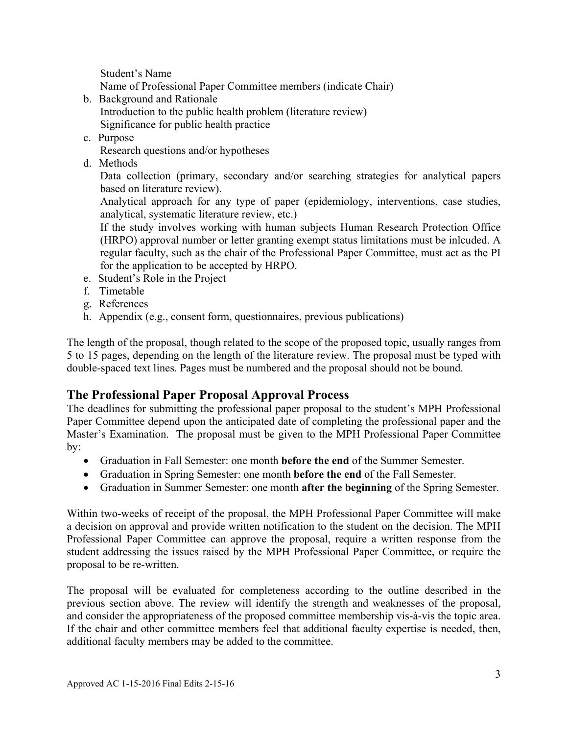Student's Name

Name of Professional Paper Committee members (indicate Chair)

- b. Background and Rationale Introduction to the public health problem (literature review) Significance for public health practice
- c. Purpose
	- Research questions and/or hypotheses
- d. Methods

Data collection (primary, secondary and/or searching strategies for analytical papers based on literature review).

Analytical approach for any type of paper (epidemiology, interventions, case studies, analytical, systematic literature review, etc.)

If the study involves working with human subjects Human Research Protection Office (HRPO) approval number or letter granting exempt status limitations must be inlcuded. A regular faculty, such as the chair of the Professional Paper Committee, must act as the PI for the application to be accepted by HRPO.

- e. Student's Role in the Project
- f. Timetable
- g. References
- h. Appendix (e.g., consent form, questionnaires, previous publications)

The length of the proposal, though related to the scope of the proposed topic, usually ranges from 5 to 15 pages, depending on the length of the literature review. The proposal must be typed with double-spaced text lines. Pages must be numbered and the proposal should not be bound.

### **The Professional Paper Proposal Approval Process**

The deadlines for submitting the professional paper proposal to the student's MPH Professional Paper Committee depend upon the anticipated date of completing the professional paper and the Master's Examination. The proposal must be given to the MPH Professional Paper Committee by:

- Graduation in Fall Semester: one month **before the end** of the Summer Semester.
- Graduation in Spring Semester: one month **before the end** of the Fall Semester.
- Graduation in Summer Semester: one month **after the beginning** of the Spring Semester.

Within two-weeks of receipt of the proposal, the MPH Professional Paper Committee will make a decision on approval and provide written notification to the student on the decision. The MPH Professional Paper Committee can approve the proposal, require a written response from the student addressing the issues raised by the MPH Professional Paper Committee, or require the proposal to be re-written.

The proposal will be evaluated for completeness according to the outline described in the previous section above. The review will identify the strength and weaknesses of the proposal, and consider the appropriateness of the proposed committee membership vis-à-vis the topic area. If the chair and other committee members feel that additional faculty expertise is needed, then, additional faculty members may be added to the committee.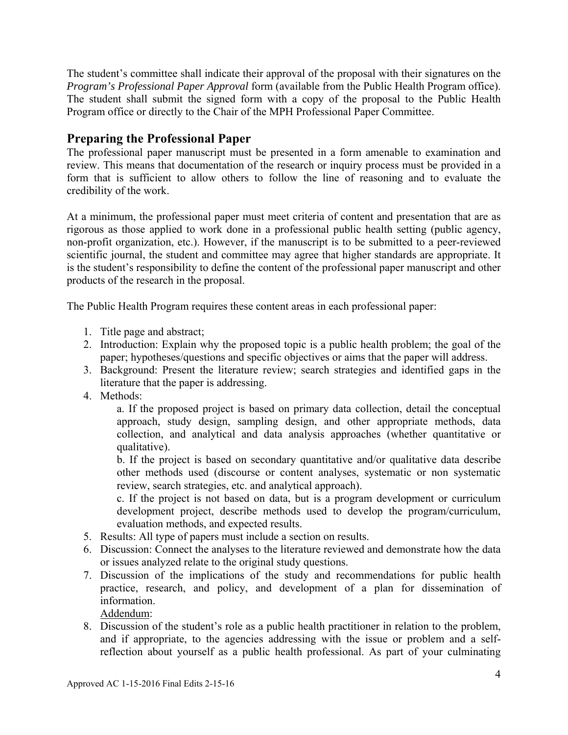The student's committee shall indicate their approval of the proposal with their signatures on the *Program's Professional Paper Approval* form (available from the Public Health Program office). The student shall submit the signed form with a copy of the proposal to the Public Health Program office or directly to the Chair of the MPH Professional Paper Committee.

#### **Preparing the Professional Paper**

The professional paper manuscript must be presented in a form amenable to examination and review. This means that documentation of the research or inquiry process must be provided in a form that is sufficient to allow others to follow the line of reasoning and to evaluate the credibility of the work.

At a minimum, the professional paper must meet criteria of content and presentation that are as rigorous as those applied to work done in a professional public health setting (public agency, non-profit organization, etc.). However, if the manuscript is to be submitted to a peer-reviewed scientific journal, the student and committee may agree that higher standards are appropriate. It is the student's responsibility to define the content of the professional paper manuscript and other products of the research in the proposal.

The Public Health Program requires these content areas in each professional paper:

- 1. Title page and abstract;
- 2. Introduction: Explain why the proposed topic is a public health problem; the goal of the paper; hypotheses/questions and specific objectives or aims that the paper will address.
- 3. Background: Present the literature review; search strategies and identified gaps in the literature that the paper is addressing.
- 4. Methods:

a. If the proposed project is based on primary data collection, detail the conceptual approach, study design, sampling design, and other appropriate methods, data collection, and analytical and data analysis approaches (whether quantitative or qualitative).

b. If the project is based on secondary quantitative and/or qualitative data describe other methods used (discourse or content analyses, systematic or non systematic review, search strategies, etc. and analytical approach).

c. If the project is not based on data, but is a program development or curriculum development project, describe methods used to develop the program/curriculum, evaluation methods, and expected results.

- 5. Results: All type of papers must include a section on results.
- 6. Discussion: Connect the analyses to the literature reviewed and demonstrate how the data or issues analyzed relate to the original study questions.
- 7. Discussion of the implications of the study and recommendations for public health practice, research, and policy, and development of a plan for dissemination of information.

Addendum:

8. Discussion of the student's role as a public health practitioner in relation to the problem, and if appropriate, to the agencies addressing with the issue or problem and a selfreflection about yourself as a public health professional. As part of your culminating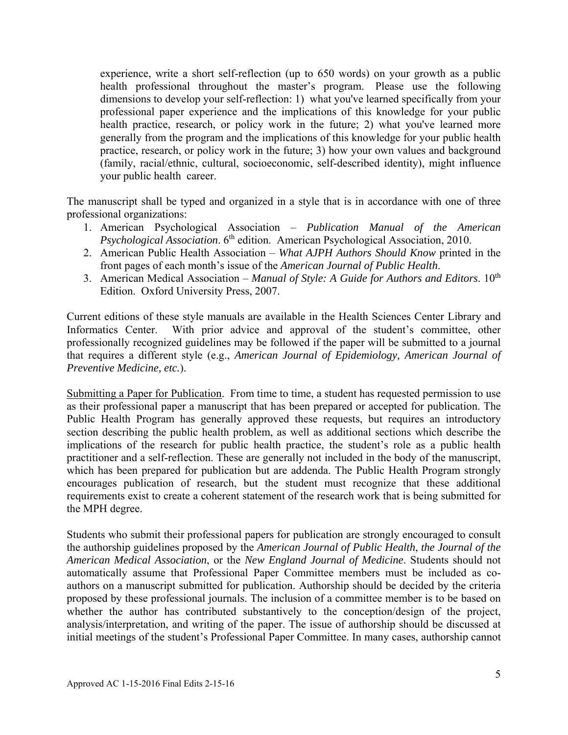experience, write a short self-reflection (up to 650 words) on your growth as a public health professional throughout the master's program. Please use the following dimensions to develop your self-reflection: 1) what you've learned specifically from your professional paper experience and the implications of this knowledge for your public health practice, research, or policy work in the future; 2) what you've learned more generally from the program and the implications of this knowledge for your public health practice, research, or policy work in the future; 3) how your own values and background (family, racial/ethnic, cultural, socioeconomic, self-described identity), might influence your public health career.

The manuscript shall be typed and organized in a style that is in accordance with one of three professional organizations:

- 1. American Psychological Association *Publication Manual of the American Psychological Association.* 6<sup>th</sup> edition. American Psychological Association, 2010.
- 2. American Public Health Association *What AJPH Authors Should Know* printed in the front pages of each month's issue of the *American Journal of Public Health*.
- 3. American Medical Association *Manual of Style: A Guide for Authors and Editors*. 10<sup>th</sup> Edition. Oxford University Press, 2007.

Current editions of these style manuals are available in the Health Sciences Center Library and Informatics Center. With prior advice and approval of the student's committee, other professionally recognized guidelines may be followed if the paper will be submitted to a journal that requires a different style (e.g., *American Journal of Epidemiology, American Journal of Preventive Medicine, etc.*).

Submitting a Paper for Publication. From time to time, a student has requested permission to use as their professional paper a manuscript that has been prepared or accepted for publication. The Public Health Program has generally approved these requests, but requires an introductory section describing the public health problem, as well as additional sections which describe the implications of the research for public health practice, the student's role as a public health practitioner and a self-reflection. These are generally not included in the body of the manuscript, which has been prepared for publication but are addenda. The Public Health Program strongly encourages publication of research, but the student must recognize that these additional requirements exist to create a coherent statement of the research work that is being submitted for the MPH degree.

Students who submit their professional papers for publication are strongly encouraged to consult the authorship guidelines proposed by the *American Journal of Public Health*, *the Journal of the American Medical Association*, or the *New England Journal of Medicine*. Students should not automatically assume that Professional Paper Committee members must be included as coauthors on a manuscript submitted for publication. Authorship should be decided by the criteria proposed by these professional journals. The inclusion of a committee member is to be based on whether the author has contributed substantively to the conception/design of the project, analysis/interpretation, and writing of the paper. The issue of authorship should be discussed at initial meetings of the student's Professional Paper Committee. In many cases, authorship cannot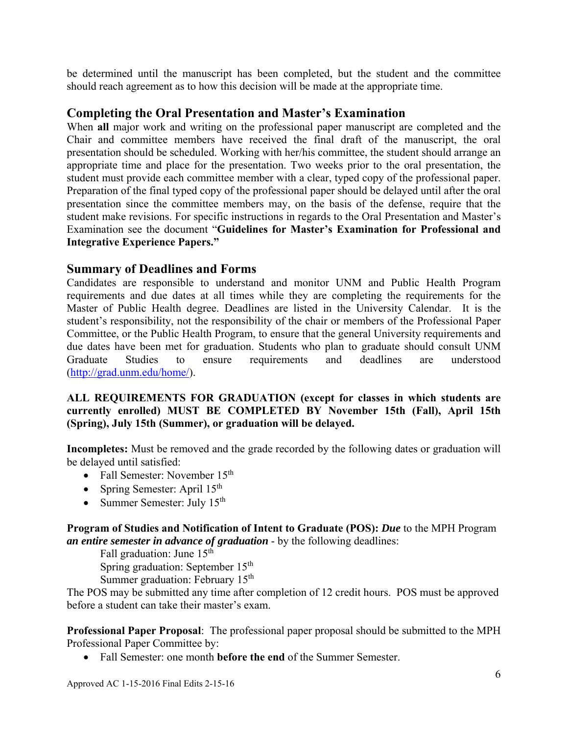be determined until the manuscript has been completed, but the student and the committee should reach agreement as to how this decision will be made at the appropriate time.

#### **Completing the Oral Presentation and Master's Examination**

When **all** major work and writing on the professional paper manuscript are completed and the Chair and committee members have received the final draft of the manuscript, the oral presentation should be scheduled. Working with her/his committee, the student should arrange an appropriate time and place for the presentation. Two weeks prior to the oral presentation, the student must provide each committee member with a clear, typed copy of the professional paper. Preparation of the final typed copy of the professional paper should be delayed until after the oral presentation since the committee members may, on the basis of the defense, require that the student make revisions. For specific instructions in regards to the Oral Presentation and Master's Examination see the document "**Guidelines for Master's Examination for Professional and Integrative Experience Papers."** 

#### **Summary of Deadlines and Forms**

Candidates are responsible to understand and monitor UNM and Public Health Program requirements and due dates at all times while they are completing the requirements for the Master of Public Health degree. Deadlines are listed in the University Calendar. It is the student's responsibility, not the responsibility of the chair or members of the Professional Paper Committee, or the Public Health Program, to ensure that the general University requirements and due dates have been met for graduation. Students who plan to graduate should consult UNM Graduate Studies to ensure requirements and deadlines are understood (http://grad.unm.edu/home/).

#### **ALL REQUIREMENTS FOR GRADUATION (except for classes in which students are currently enrolled) MUST BE COMPLETED BY November 15th (Fall), April 15th (Spring), July 15th (Summer), or graduation will be delayed.**

**Incompletes:** Must be removed and the grade recorded by the following dates or graduation will be delayed until satisfied:

- Fall Semester: November  $15<sup>th</sup>$
- Spring Semester: April 15<sup>th</sup>
- Summer Semester: July  $15<sup>th</sup>$

**Program of Studies and Notification of Intent to Graduate (POS):** *Due* to the MPH Program *an entire semester in advance of graduation* - by the following deadlines:

Fall graduation: June  $15<sup>th</sup>$ 

Spring graduation: September 15<sup>th</sup>

Summer graduation: February  $15<sup>th</sup>$ 

The POS may be submitted any time after completion of 12 credit hours. POS must be approved before a student can take their master's exam.

**Professional Paper Proposal**: The professional paper proposal should be submitted to the MPH Professional Paper Committee by:

Fall Semester: one month **before the end** of the Summer Semester.